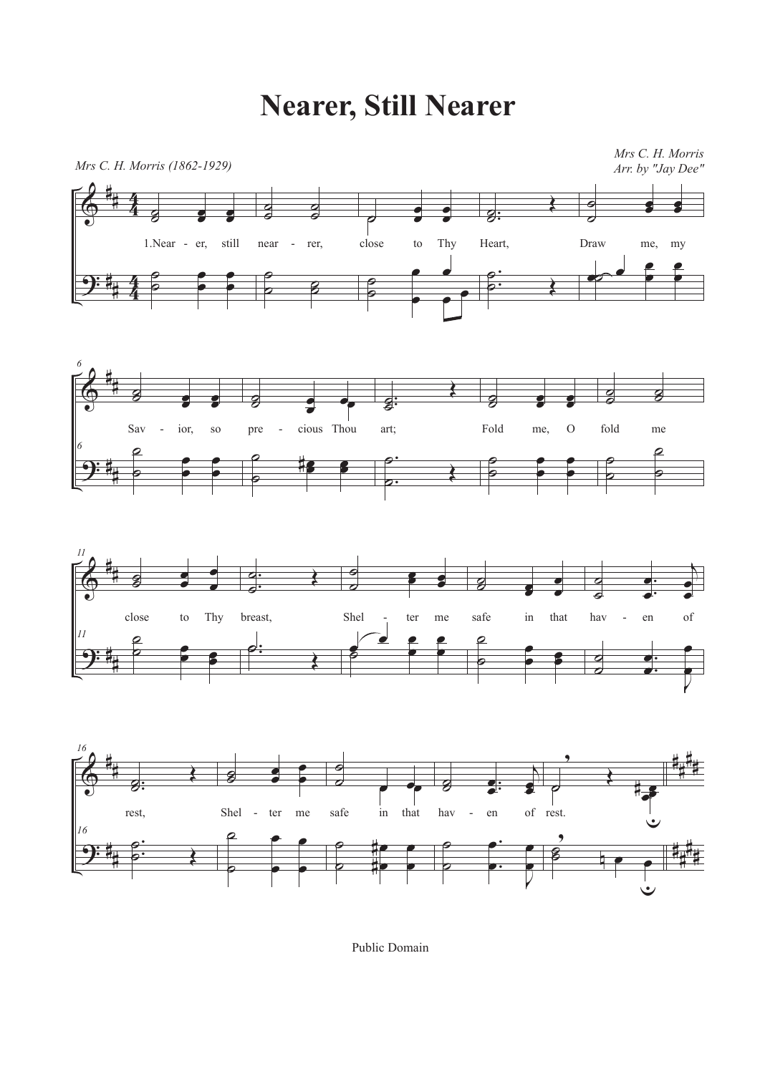## **Nearer, Still Nearer**









Public Domain